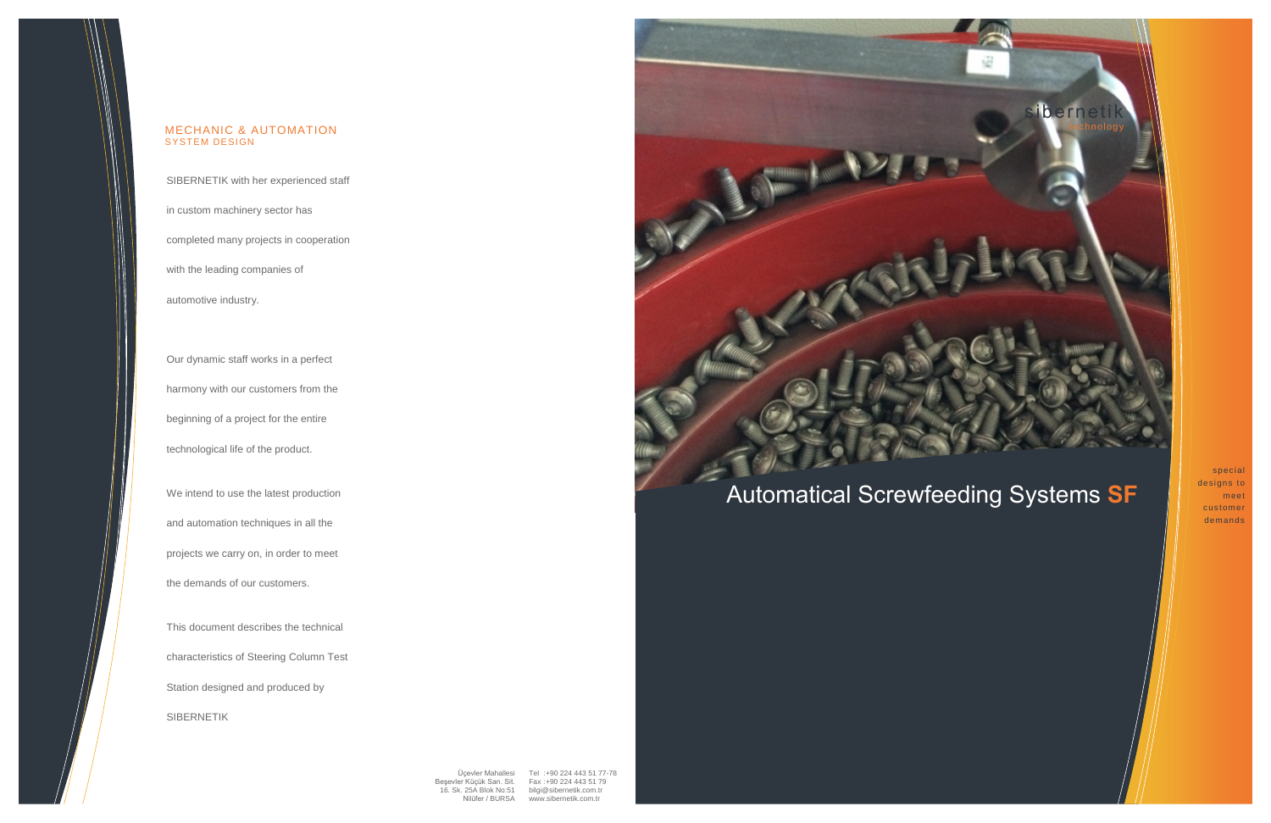

Üçevler Mahallesi Tel :+90 224 443 51 77-78 Beşevler Küçük San. Sit. Fax :+90 224 443 51 79 16. Sk. 25A Blok No:51 [bilgi@sibernetik.com.tr](mailto:bilgi@sibernetik.com.tr) Nilüfer / BURSA

## Automatical Screwfeeding Systems **SF**

special designs to meet customer demands

SIBERNETIK with her experienced staff

in custom machinery sector has

completed many projects in cooperation

with the leading companies of

automotive industry.

Our dynamic staff works in a perfect harmony with our customers from the beginning of a project for the entire technological life of the product.

We intend to use the latest production and automation techniques in all the projects we carry on, in order to meet the demands of our customers.

This document describes the technical characteristics of Steering Column Test Station designed and produced by SIBERNETIK



#### MECHANIC & AUTOMATION SYSTEM DESIGN

[www.sibernetik.com.tr](http://www.sibernetik.com.tr/)